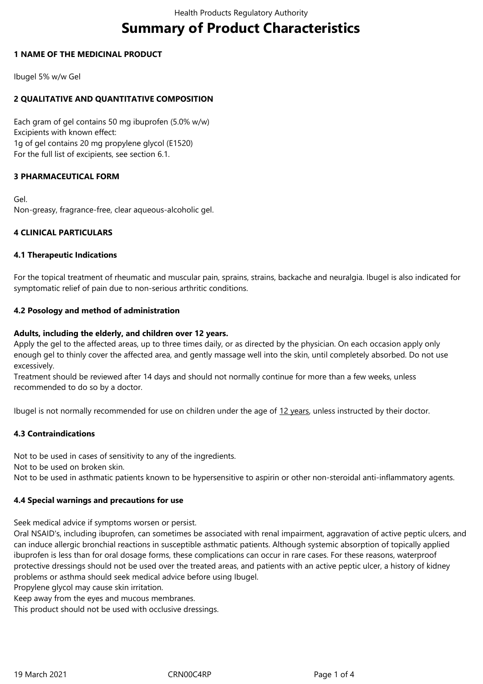# **Summary of Product Characteristics**

## **1 NAME OF THE MEDICINAL PRODUCT**

Ibugel 5% w/w Gel

# **2 QUALITATIVE AND QUANTITATIVE COMPOSITION**

Each gram of gel contains 50 mg ibuprofen (5.0% w/w) Excipients with known effect: 1g of gel contains 20 mg propylene glycol (E1520) For the full list of excipients, see section 6.1.

# **3 PHARMACEUTICAL FORM**

Gel. Non-greasy, fragrance-free, clear aqueous-alcoholic gel.

## **4 CLINICAL PARTICULARS**

#### **4.1 Therapeutic Indications**

For the topical treatment of rheumatic and muscular pain, sprains, strains, backache and neuralgia. Ibugel is also indicated for symptomatic relief of pain due to non-serious arthritic conditions.

## **4.2 Posology and method of administration**

## **Adults, including the elderly, and children over 12 years.**

Apply the gel to the affected areas, up to three times daily, or as directed by the physician. On each occasion apply only enough gel to thinly cover the affected area, and gently massage well into the skin, until completely absorbed. Do not use excessively.

Treatment should be reviewed after 14 days and should not normally continue for more than a few weeks, unless recommended to do so by a doctor.

Ibugel is not normally recommended for use on children under the age of 12 years, unless instructed by their doctor.

# **4.3 Contraindications**

Not to be used in cases of sensitivity to any of the ingredients.

Not to be used on broken skin.

Not to be used in asthmatic patients known to be hypersensitive to aspirin or other non-steroidal anti-inflammatory agents.

#### **4.4 Special warnings and precautions for use**

Seek medical advice if symptoms worsen or persist.

Oral NSAID's, including ibuprofen, can sometimes be associated with renal impairment, aggravation of active peptic ulcers, and can induce allergic bronchial reactions in susceptible asthmatic patients. Although systemic absorption of topically applied ibuprofen is less than for oral dosage forms, these complications can occur in rare cases. For these reasons, waterproof protective dressings should not be used over the treated areas, and patients with an active peptic ulcer, a history of kidney problems or asthma should seek medical advice before using Ibugel.

Propylene glycol may cause skin irritation.

Keep away from the eyes and mucous membranes.

This product should not be used with occlusive dressings.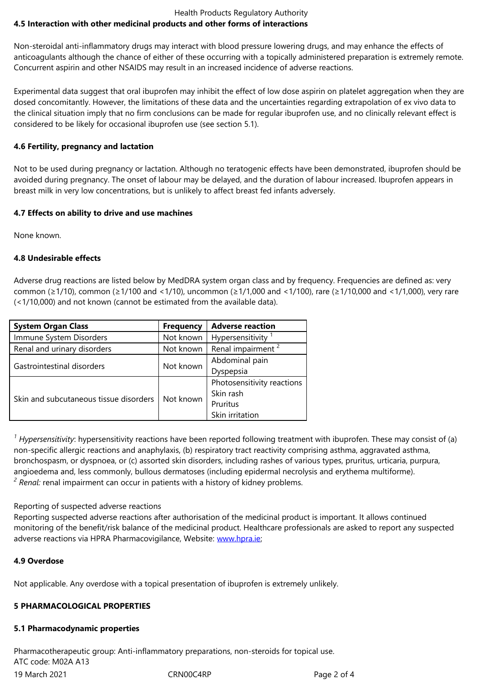Non-steroidal anti-inflammatory drugs may interact with blood pressure lowering drugs, and may enhance the effects of anticoagulants although the chance of either of these occurring with a topically administered preparation is extremely remote. Concurrent aspirin and other NSAIDS may result in an increased incidence of adverse reactions.

Experimental data suggest that oral ibuprofen may inhibit the effect of low dose aspirin on platelet aggregation when they are dosed concomitantly. However, the limitations of these data and the uncertainties regarding extrapolation of ex vivo data to the clinical situation imply that no firm conclusions can be made for regular ibuprofen use, and no clinically relevant effect is considered to be likely for occasional ibuprofen use (see section 5.1).

# **4.6 Fertility, pregnancy and lactation**

Not to be used during pregnancy or lactation. Although no teratogenic effects have been demonstrated, ibuprofen should be avoided during pregnancy. The onset of labour may be delayed, and the duration of labour increased. Ibuprofen appears in breast milk in very low concentrations, but is unlikely to affect breast fed infants adversely.

# **4.7 Effects on ability to drive and use machines**

None known.

# **4.8 Undesirable effects**

Adverse drug reactions are listed below by MedDRA system organ class and by frequency. Frequencies are defined as: very common (≥1/10), common (≥1/100 and <1/10), uncommon (≥1/1,000 and <1/100), rare (≥1/10,000 and <1/1,000), very rare (<1/10,000) and not known (cannot be estimated from the available data).

| <b>System Organ Class</b>              | <b>Frequency</b> | <b>Adverse reaction</b>       |
|----------------------------------------|------------------|-------------------------------|
| Immune System Disorders                | Not known        | Hypersensitivity              |
| Renal and urinary disorders            | Not known        | Renal impairment <sup>2</sup> |
| Gastrointestinal disorders             | Not known        | Abdominal pain                |
|                                        |                  | Dyspepsia                     |
| Skin and subcutaneous tissue disorders | Not known        | Photosensitivity reactions    |
|                                        |                  | Skin rash                     |
|                                        |                  | Pruritus                      |
|                                        |                  | Skin irritation               |

<sup>1</sup> Hypersensitivity: hypersensitivity reactions have been reported following treatment with ibuprofen. These may consist of (a) non-specific allergic reactions and anaphylaxis, (b) respiratory tract reactivity comprising asthma, aggravated asthma, bronchospasm, or dyspnoea, or (c) assorted skin disorders, including rashes of various types, pruritus, urticaria, purpura, angioedema and, less commonly, bullous dermatoses (including epidermal necrolysis and erythema multiforme). <sup>2</sup> Renal: renal impairment can occur in patients with a history of kidney problems.

# Reporting of suspected adverse reactions

Reporting suspected adverse reactions after authorisation of the medicinal product is important. It allows continued monitoring of the benefit/risk balance of the medicinal product. Healthcare professionals are asked to report any suspected adverse reactions via HPRA Pharmacovigilance, Website: www.hpra.ie;

# **4.9 Overdose**

Not applicable. Any overdose with a topical presentation [of ibuprofen](http://www.hpra.ie/) is extremely unlikely.

# **5 PHARMACOLOGICAL PROPERTIES**

# **5.1 Pharmacodynamic properties**

19 March 2021 **CRNOOC4RP** Page 2 of 4 Pharmacotherapeutic group: Anti-inflammatory preparations, non-steroids for topical use. ATC code: M02A A13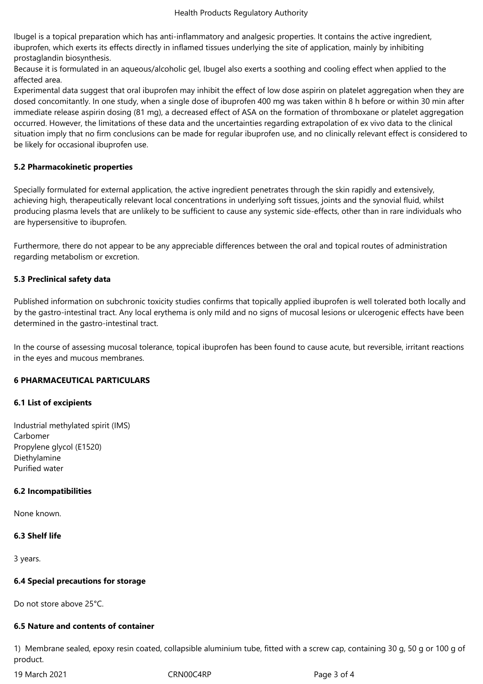Ibugel is a topical preparation which has anti-inflammatory and analgesic properties. It contains the active ingredient, ibuprofen, which exerts its effects directly in inflamed tissues underlying the site of application, mainly by inhibiting prostaglandin biosynthesis.

Because it is formulated in an aqueous/alcoholic gel, Ibugel also exerts a soothing and cooling effect when applied to the affected area.

Experimental data suggest that oral ibuprofen may inhibit the effect of low dose aspirin on platelet aggregation when they are dosed concomitantly. In one study, when a single dose of ibuprofen 400 mg was taken within 8 h before or within 30 min after immediate release aspirin dosing (81 mg), a decreased effect of ASA on the formation of thromboxane or platelet aggregation occurred. However, the limitations of these data and the uncertainties regarding extrapolation of ex vivo data to the clinical situation imply that no firm conclusions can be made for regular ibuprofen use, and no clinically relevant effect is considered to be likely for occasional ibuprofen use.

#### **5.2 Pharmacokinetic properties**

Specially formulated for external application, the active ingredient penetrates through the skin rapidly and extensively, achieving high, therapeutically relevant local concentrations in underlying soft tissues, joints and the synovial fluid, whilst producing plasma levels that are unlikely to be sufficient to cause any systemic side-effects, other than in rare individuals who are hypersensitive to ibuprofen.

Furthermore, there do not appear to be any appreciable differences between the oral and topical routes of administration regarding metabolism or excretion.

#### **5.3 Preclinical safety data**

Published information on subchronic toxicity studies confirms that topically applied ibuprofen is well tolerated both locally and by the gastro-intestinal tract. Any local erythema is only mild and no signs of mucosal lesions or ulcerogenic effects have been determined in the gastro-intestinal tract.

In the course of assessing mucosal tolerance, topical ibuprofen has been found to cause acute, but reversible, irritant reactions in the eyes and mucous membranes.

#### **6 PHARMACEUTICAL PARTICULARS**

#### **6.1 List of excipients**

Industrial methylated spirit (IMS) Carbomer Propylene glycol (E1520) Diethylamine Purified water

#### **6.2 Incompatibilities**

None known.

#### **6.3 Shelf life**

3 years.

#### **6.4 Special precautions for storage**

Do not store above 25°C.

# **6.5 Nature and contents of container**

1) Membrane sealed, epoxy resin coated, collapsible aluminium tube, fitted with a screw cap, containing 30 g, 50 g or 100 g of product.

19 March 2021 **CRNOOC4RP** Page 3 of 4